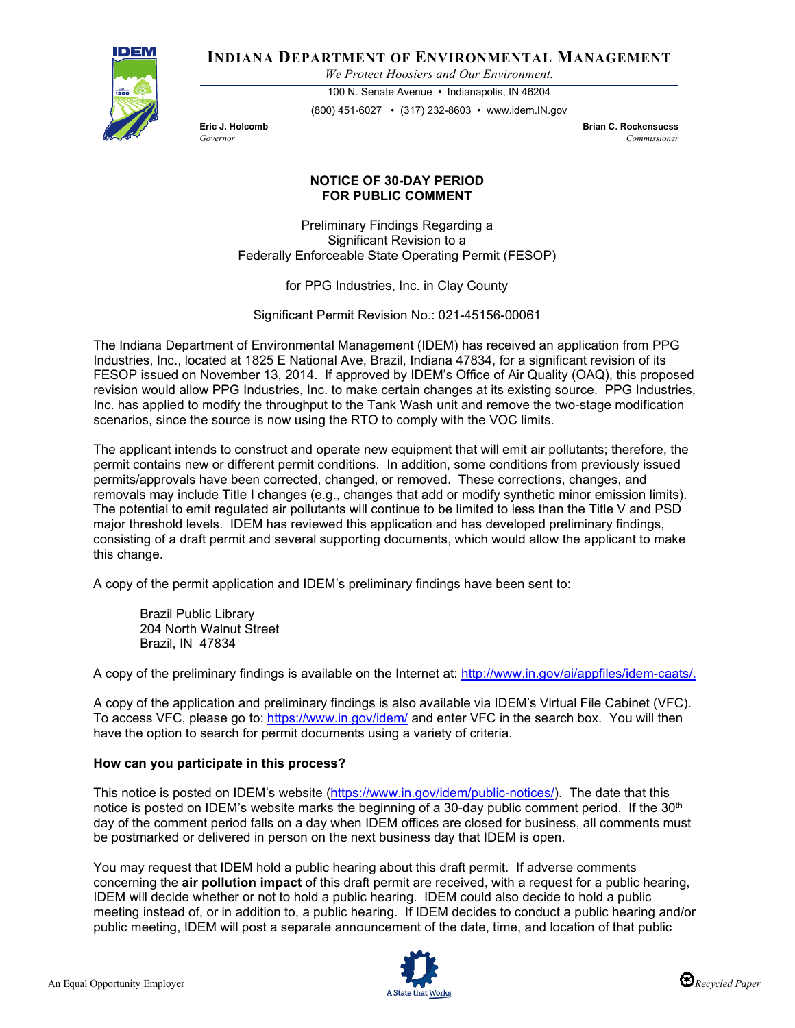

**INDIANA DEPARTMENT OF ENVIRONMENTAL MANAGEMENT**

*We Protect Hoosiers and Our Environment.*

100 N. Senate Avenue • Indianapolis, IN 46204 (800) 451-6027 • (317) 232-8603 • www.idem.IN.gov

**Eric J. Holcomb Brian C. Rockensuess** *Governor Commissioner* 

## **NOTICE OF 30-DAY PERIOD FOR PUBLIC COMMENT**

Preliminary Findings Regarding a Significant Revision to a Federally Enforceable State Operating Permit (FESOP)

for PPG Industries, Inc. in Clay County

Significant Permit Revision No.: 021-45156-00061

The Indiana Department of Environmental Management (IDEM) has received an application from PPG Industries, Inc., located at 1825 E National Ave, Brazil, Indiana 47834, for a significant revision of its FESOP issued on November 13, 2014. If approved by IDEM's Office of Air Quality (OAQ), this proposed revision would allow PPG Industries, Inc. to make certain changes at its existing source. PPG Industries, Inc. has applied to modify the throughput to the Tank Wash unit and remove the two-stage modification scenarios, since the source is now using the RTO to comply with the VOC limits.

The applicant intends to construct and operate new equipment that will emit air pollutants; therefore, the permit contains new or different permit conditions. In addition, some conditions from previously issued permits/approvals have been corrected, changed, or removed. These corrections, changes, and removals may include Title I changes (e.g., changes that add or modify synthetic minor emission limits). The potential to emit regulated air pollutants will continue to be limited to less than the Title V and PSD major threshold levels. IDEM has reviewed this application and has developed preliminary findings, consisting of a draft permit and several supporting documents, which would allow the applicant to make this change.

A copy of the permit application and IDEM's preliminary findings have been sent to:

Brazil Public Library 204 North Walnut Street Brazil, IN 47834

A copy of the preliminary findings is available on the Internet at: [http://www.in.gov/ai/appfiles/idem-caats/.](http://www.in.gov/ai/appfiles/idem-caats/)

A copy of the application and preliminary findings is also available via IDEM's Virtual File Cabinet (VFC). To access VFC, please go to:<https://www.in.gov/idem/> and enter VFC in the search box. You will then have the option to search for permit documents using a variety of criteria.

## **How can you participate in this process?**

This notice is posted on IDEM's website [\(https://www.in.gov/idem/public-notices/\)](https://www.in.gov/idem/public-notices/). The date that this notice is posted on IDEM's website marks the beginning of a 30-day public comment period. If the 30<sup>th</sup> day of the comment period falls on a day when IDEM offices are closed for business, all comments must be postmarked or delivered in person on the next business day that IDEM is open.

You may request that IDEM hold a public hearing about this draft permit. If adverse comments concerning the **air pollution impact** of this draft permit are received, with a request for a public hearing, IDEM will decide whether or not to hold a public hearing. IDEM could also decide to hold a public meeting instead of, or in addition to, a public hearing. If IDEM decides to conduct a public hearing and/or public meeting, IDEM will post a separate announcement of the date, time, and location of that public